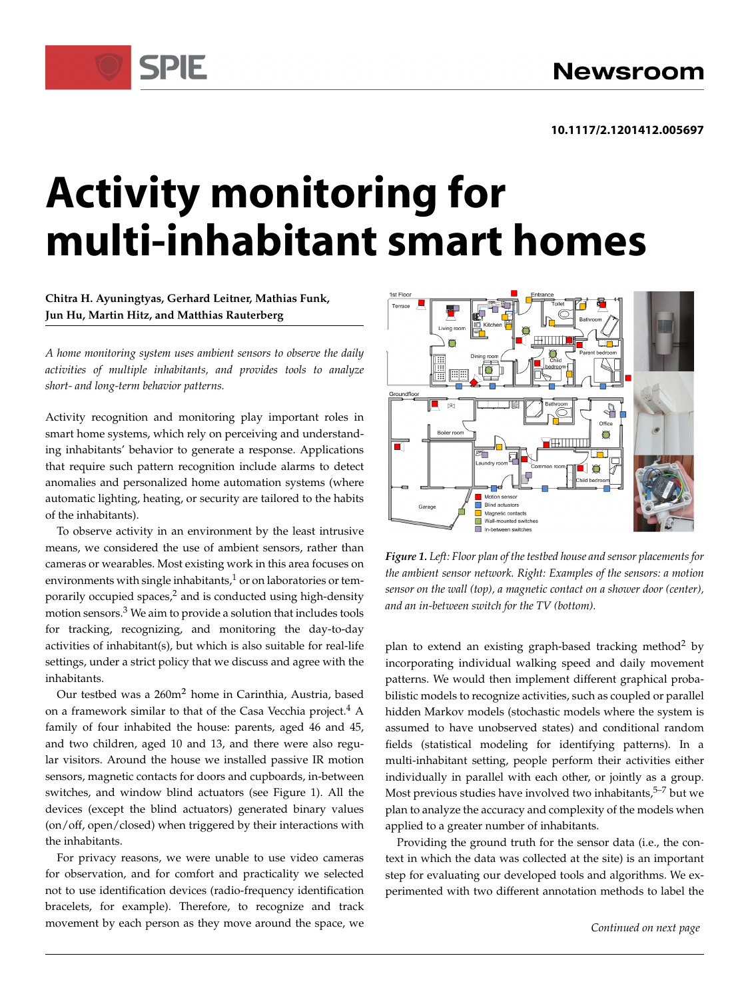# **Activity monitoring for multi-inhabitant smart homes**

### **Chitra H. Ayuningtyas, Gerhard Leitner, Mathias Funk, Jun Hu, Martin Hitz, and Matthias Rauterberg**

SPIF

*A home monitoring system uses ambient sensors to observe the daily activities of multiple inhabitants, and provides tools to analyze short- and long-term behavior patterns.*

Activity recognition and monitoring play important roles in smart home systems, which rely on perceiving and understanding inhabitants' behavior to generate a response. Applications that require such pattern recognition include alarms to detect anomalies and personalized home automation systems (where automatic lighting, heating, or security are tailored to the habits of the inhabitants).

To observe activity in an environment by the least intrusive means, we considered the use of ambient sensors, rather than cameras or wearables. Most existing work in this area focuses on environments with single inhabitants, $\frac{1}{2}$  or on laboratories or temporarily occupied spaces, $2$  and is conducted using high-density motion sensors.<sup>3</sup> We aim to provide a solution that includes tools for tracking, recognizing, and monitoring the day-to-day activities of inhabitant(s), but which is also suitable for real-life settings, under a strict policy that we discuss and agree with the inhabitants.

Our testbed was a 260m<sup>2</sup> home in Carinthia, Austria, based on a framework similar to that of the Casa Vecchia project.<sup>4</sup> A family of four inhabited the house: parents, aged 46 and 45, and two children, aged 10 and 13, and there were also regular visitors. Around the house we installed passive IR motion sensors, magnetic contacts for doors and cupboards, in-between switches, and window blind actuators (see Figure 1). All the devices (except the blind actuators) generated binary values (on/off, open/closed) when triggered by their interactions with the inhabitants.

For privacy reasons, we were unable to use video cameras for observation, and for comfort and practicality we selected not to use identification devices (radio-frequency identification bracelets, for example). Therefore, to recognize and track movement by each person as they move around the space, we



*Figure 1. Left: Floor plan of the testbed house and sensor placements for the ambient sensor network. Right: Examples of the sensors: a motion sensor on the wall (top), a magnetic contact on a shower door (center), and an in-between switch for the TV (bottom).*

plan to extend an existing graph-based tracking method<sup>2</sup> by incorporating individual walking speed and daily movement patterns. We would then implement different graphical probabilistic models to recognize activities, such as coupled or parallel hidden Markov models (stochastic models where the system is assumed to have unobserved states) and conditional random fields (statistical modeling for identifying patterns). In a multi-inhabitant setting, people perform their activities either individually in parallel with each other, or jointly as a group. Most previous studies have involved two inhabitants, $5-7$  but we plan to analyze the accuracy and complexity of the models when applied to a greater number of inhabitants.

Providing the ground truth for the sensor data (i.e., the context in which the data was collected at the site) is an important step for evaluating our developed tools and algorithms. We experimented with two different annotation methods to label the